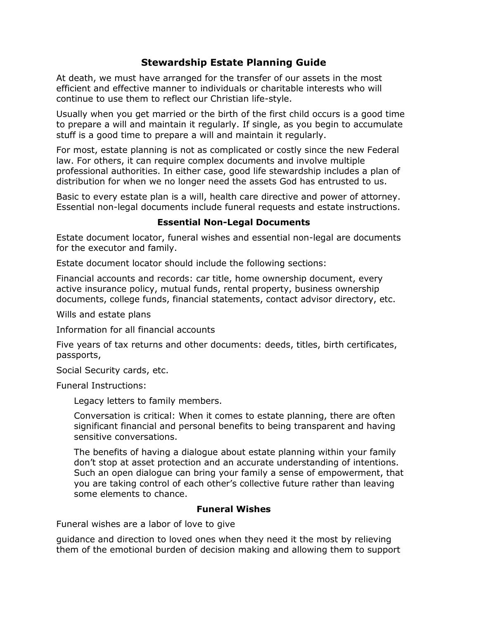## **Stewardship Estate Planning Guide**

At death, we must have arranged for the transfer of our assets in the most efficient and effective manner to individuals or charitable interests who will continue to use them to reflect our Christian life-style.

Usually when you get married or the birth of the first child occurs is a good time to prepare a will and maintain it regularly. If single, as you begin to accumulate stuff is a good time to prepare a will and maintain it regularly.

For most, estate planning is not as complicated or costly since the new Federal law. For others, it can require complex documents and involve multiple professional authorities. In either case, good life stewardship includes a plan of distribution for when we no longer need the assets God has entrusted to us.

Basic to every estate plan is a will, health care directive and power of attorney. Essential non-legal documents include funeral requests and estate instructions.

## **Essential Non-Legal Documents**

Estate document locator, funeral wishes and essential non-legal are documents for the executor and family.

Estate document locator should include the following sections:

Financial accounts and records: car title, home ownership document, every active insurance policy, mutual funds, rental property, business ownership documents, college funds, financial statements, contact advisor directory, etc.

Wills and estate plans

Information for all financial accounts

Five years of tax returns and other documents: deeds, titles, birth certificates, passports,

Social Security cards, etc.

Funeral Instructions:

Legacy letters to family members.

Conversation is critical: When it comes to estate planning, there are often significant financial and personal benefits to being transparent and having sensitive conversations.

The benefits of having a dialogue about estate planning within your family don't stop at asset protection and an accurate understanding of intentions. Such an open dialogue can bring your family a sense of empowerment, that you are taking control of each other's collective future rather than leaving some elements to chance.

## **Funeral Wishes**

Funeral wishes are a labor of love to give

guidance and direction to loved ones when they need it the most by relieving them of the emotional burden of decision making and allowing them to support